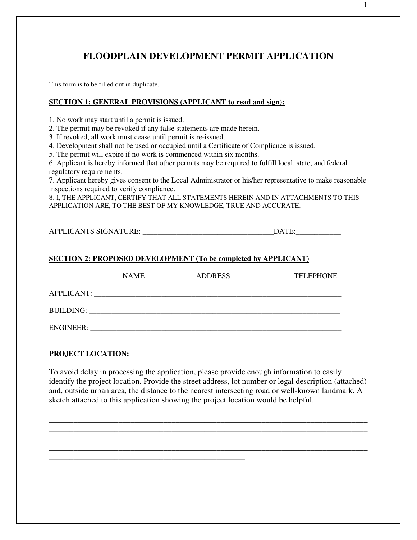# **FLOODPLAIN DEVELOPMENT PERMIT APPLICATION**

This form is to be filled out in duplicate.

## **SECTION 1: GENERAL PROVISIONS (APPLICANT to read and sign):**

1. No work may start until a permit is issued.

2. The permit may be revoked if any false statements are made herein.

3. If revoked, all work must cease until permit is re-issued.

4. Development shall not be used or occupied until a Certificate of Compliance is issued.

5. The permit will expire if no work is commenced within six months.

\_\_\_\_\_\_\_\_\_\_\_\_\_\_\_\_\_\_\_\_\_\_\_\_\_\_\_\_\_\_\_\_\_\_\_\_\_\_\_\_\_\_\_\_\_\_\_\_

6. Applicant is hereby informed that other permits may be required to fulfill local, state, and federal regulatory requirements.

7. Applicant hereby gives consent to the Local Administrator or his/her representative to make reasonable inspections required to verify compliance.

8. I, THE APPLICANT, CERTIFY THAT ALL STATEMENTS HEREIN AND IN ATTACHMENTS TO THIS APPLICATION ARE, TO THE BEST OF MY KNOWLEDGE, TRUE AND ACCURATE.

APPLICANTS SIGNATURE: \_\_\_\_\_\_\_\_\_\_\_\_\_\_\_\_\_\_\_\_\_\_\_\_\_\_\_\_\_\_\_\_\_\_\_DATE:\_\_\_\_\_\_\_\_\_\_\_\_

# **SECTION 2: PROPOSED DEVELOPMENT (To be completed by APPLICANT)**

|                  | <b>NAME</b> | <b>ADDRESS</b> | <b>TELEPHONE</b> |
|------------------|-------------|----------------|------------------|
| APPLICANT:       |             |                |                  |
| BUILDING:        |             |                |                  |
| <b>ENGINEER:</b> |             |                |                  |

# **PROJECT LOCATION:**

To avoid delay in processing the application, please provide enough information to easily identify the project location. Provide the street address, lot number or legal description (attached) and, outside urban area, the distance to the nearest intersecting road or well-known landmark. A sketch attached to this application showing the project location would be helpful.

\_\_\_\_\_\_\_\_\_\_\_\_\_\_\_\_\_\_\_\_\_\_\_\_\_\_\_\_\_\_\_\_\_\_\_\_\_\_\_\_\_\_\_\_\_\_\_\_\_\_\_\_\_\_\_\_\_\_\_\_\_\_\_\_\_\_\_\_\_\_\_\_\_\_\_\_\_\_ \_\_\_\_\_\_\_\_\_\_\_\_\_\_\_\_\_\_\_\_\_\_\_\_\_\_\_\_\_\_\_\_\_\_\_\_\_\_\_\_\_\_\_\_\_\_\_\_\_\_\_\_\_\_\_\_\_\_\_\_\_\_\_\_\_\_\_\_\_\_\_\_\_\_\_\_\_\_ \_\_\_\_\_\_\_\_\_\_\_\_\_\_\_\_\_\_\_\_\_\_\_\_\_\_\_\_\_\_\_\_\_\_\_\_\_\_\_\_\_\_\_\_\_\_\_\_\_\_\_\_\_\_\_\_\_\_\_\_\_\_\_\_\_\_\_\_\_\_\_\_\_\_\_\_\_\_ \_\_\_\_\_\_\_\_\_\_\_\_\_\_\_\_\_\_\_\_\_\_\_\_\_\_\_\_\_\_\_\_\_\_\_\_\_\_\_\_\_\_\_\_\_\_\_\_\_\_\_\_\_\_\_\_\_\_\_\_\_\_\_\_\_\_\_\_\_\_\_\_\_\_\_\_\_\_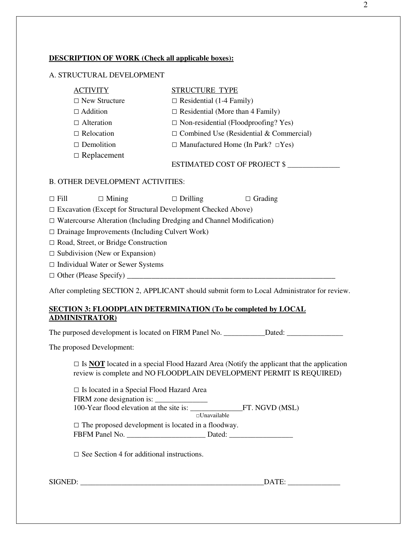# **DESCRIPTION OF WORK (Check all applicable boxes):**

## A. STRUCTURAL DEVELOPMENT

| <b>ACTIVITY</b>      | STRUCTURE TYPE                                 |
|----------------------|------------------------------------------------|
| $\Box$ New Structure | $\Box$ Residential (1-4 Family)                |
| $\Box$ Addition      | $\Box$ Residential (More than 4 Family)        |
| $\Box$ Alteration    | $\Box$ Non-residential (Floodproofing? Yes)    |
| $\Box$ Relocation    | $\Box$ Combined Use (Residential & Commercial) |
| $\Box$ Demolition    | $\Box$ Manufactured Home (In Park? $\Box$ Yes) |
| $\Box$ Replacement   |                                                |
|                      | <b>ESTIMATED COST OF PROJECT \$</b>            |

#### B. OTHER DEVELOPMENT ACTIVITIES:

□ Fill □ Mining □ Drilling □ Grading

□ Excavation (Except for Structural Development Checked Above)

□ Watercourse Alteration (Including Dredging and Channel Modification)

 $\square$  Drainage Improvements (Including Culvert Work)

□ Road, Street, or Bridge Construction

 $\square$  Subdivision (New or Expansion)

□ Individual Water or Sewer Systems

 $\Box$  Other (Please Specify)  $\Box$ 

After completing SECTION 2, APPLICANT should submit form to Local Administrator for review.

# **SECTION 3: FLOODPLAIN DETERMINATION (To be completed by LOCAL ADMINISTRATOR)**

The purposed development is located on FIRM Panel No. \_\_\_\_\_\_\_\_\_\_\_Dated: \_\_\_\_\_\_\_\_\_\_\_\_\_\_\_

The proposed Development:

 $\Box$  Is **NOT** located in a special Flood Hazard Area (Notify the applicant that the application review is complete and NO FLOODPLAIN DEVELOPMENT PERMIT IS REQUIRED)

□ Is located in a Special Flood Hazard Area FIRM zone designation is: 100-Year flood elevation at the site is: \_\_\_\_\_\_\_\_\_\_\_\_\_\_FT. NGVD (MSL) □Unavailable  $\Box$  The proposed development is located in a floodway. FBFM Panel No. \_\_\_\_\_\_\_\_\_\_\_\_\_\_\_\_\_\_\_\_\_\_\_\_\_\_ Dated: \_\_\_\_\_\_\_\_\_\_\_\_\_\_\_\_\_\_\_\_\_\_\_\_\_\_\_\_\_\_\_

 $\square$  See Section 4 for additional instructions.

| SIGNED: |
|---------|
|---------|

SIGNED: \_\_\_\_\_\_\_\_\_\_\_\_\_\_\_\_\_\_\_\_\_\_\_\_\_\_\_\_\_\_\_\_\_\_\_\_\_\_\_\_\_\_\_\_\_\_\_\_\_DATE: \_\_\_\_\_\_\_\_\_\_\_\_\_\_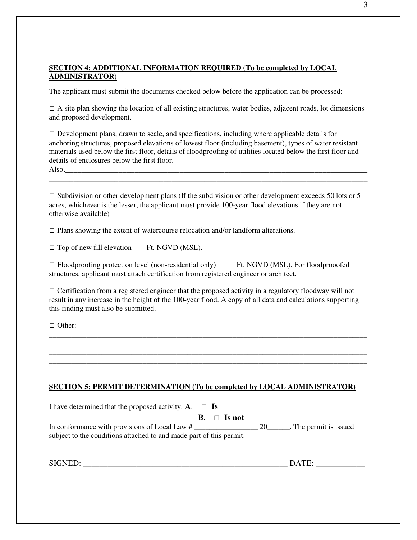# **SECTION 4: ADDITIONAL INFORMATION REQUIRED (To be completed by LOCAL ADMINISTRATOR)**

The applicant must submit the documents checked below before the application can be processed:

 $\Box$  A site plan showing the location of all existing structures, water bodies, adjacent roads, lot dimensions and proposed development.

 $\Box$  Development plans, drawn to scale, and specifications, including where applicable details for anchoring structures, proposed elevations of lowest floor (including basement), types of water resistant materials used below the first floor, details of floodproofing of utilities located below the first floor and details of enclosures below the first floor.

Also.

 $\Box$  Subdivision or other development plans (If the subdivision or other development exceeds 50 lots or 5 acres, whichever is the lesser, the applicant must provide 100-year flood elevations if they are not otherwise available)

\_\_\_\_\_\_\_\_\_\_\_\_\_\_\_\_\_\_\_\_\_\_\_\_\_\_\_\_\_\_\_\_\_\_\_\_\_\_\_\_\_\_\_\_\_\_\_\_\_\_\_\_\_\_\_\_\_\_\_\_\_\_\_\_\_\_\_\_\_\_\_\_\_\_\_\_\_\_

 $\square$  Plans showing the extent of watercourse relocation and/or landform alterations.

 $\square$  Top of new fill elevation Ft. NGVD (MSL).

 $\square$  Floodproofing protection level (non-residential only) Ft. NGVD (MSL). For floodprooofed structures, applicant must attach certification from registered engineer or architect.

 $\Box$  Certification from a registered engineer that the proposed activity in a regulatory floodway will not result in any increase in the height of the 100-year flood. A copy of all data and calculations supporting this finding must also be submitted.

\_\_\_\_\_\_\_\_\_\_\_\_\_\_\_\_\_\_\_\_\_\_\_\_\_\_\_\_\_\_\_\_\_\_\_\_\_\_\_\_\_\_\_\_\_\_\_\_\_\_\_\_\_\_\_\_\_\_\_\_\_\_\_\_\_\_\_\_\_\_\_\_\_\_\_\_\_\_\_\_\_\_\_\_\_ \_\_\_\_\_\_\_\_\_\_\_\_\_\_\_\_\_\_\_\_\_\_\_\_\_\_\_\_\_\_\_\_\_\_\_\_\_\_\_\_\_\_\_\_\_\_\_\_\_\_\_\_\_\_\_\_\_\_\_\_\_\_\_\_\_\_\_\_\_\_\_\_\_\_\_\_\_\_\_\_\_\_\_\_\_ \_\_\_\_\_\_\_\_\_\_\_\_\_\_\_\_\_\_\_\_\_\_\_\_\_\_\_\_\_\_\_\_\_\_\_\_\_\_\_\_\_\_\_\_\_\_\_\_\_\_\_\_\_\_\_\_\_\_\_\_\_\_\_\_\_\_\_\_\_\_\_\_\_\_\_\_\_\_\_\_\_\_\_\_\_ \_\_\_\_\_\_\_\_\_\_\_\_\_\_\_\_\_\_\_\_\_\_\_\_\_\_\_\_\_\_\_\_\_\_\_\_\_\_\_\_\_\_\_\_\_\_\_\_\_\_\_\_\_\_\_\_\_\_\_\_\_\_\_\_\_\_\_\_\_\_\_\_\_\_\_\_\_\_\_\_\_\_\_\_\_

□ Other:

#### **SECTION 5: PERMIT DETERMINATION (To be completed by LOCAL ADMINISTRATOR)**

I have determined that the proposed activity:  $\mathbf{A}$ .  $\Box$  **Is**  $B. \Box$  **Is not** 

\_\_\_\_\_\_\_\_\_\_\_\_\_\_\_\_\_\_\_\_\_\_\_\_\_\_\_\_\_\_\_\_\_\_\_\_\_\_\_\_\_\_\_\_\_\_\_\_\_\_

In conformance with provisions of Local Law # \_\_\_\_\_\_\_\_\_\_\_\_\_\_\_\_\_ 20\_\_\_\_\_\_. The permit is issued subject to the conditions attached to and made part of this permit.

SIGNED: \_\_\_\_\_\_\_\_\_\_\_\_\_\_\_\_\_\_\_\_\_\_\_\_\_\_\_\_\_\_\_\_\_\_\_\_\_\_\_\_\_\_\_\_\_\_\_\_\_\_ DATE: \_\_\_\_\_\_\_\_\_\_\_\_